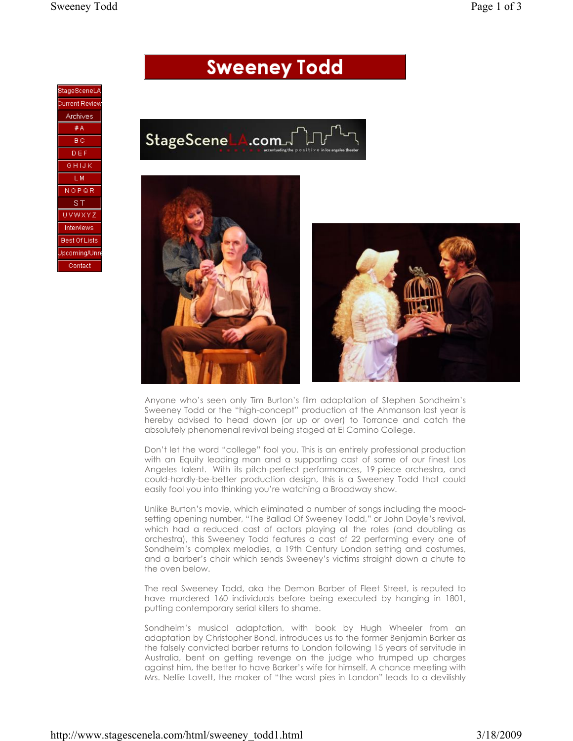## **Sweeney Todd**









Anyone who's seen only Tim Burton's film adaptation of Stephen Sondheim's Sweeney Todd or the "high-concept" production at the Ahmanson last year is hereby advised to head down (or up or over) to Torrance and catch the absolutely phenomenal revival being staged at El Camino College.

Don't let the word "college" fool you. This is an entirely professional production with an Equity leading man and a supporting cast of some of our finest Los Angeles talent. With its pitch-perfect performances, 19-piece orchestra, and could-hardly-be-better production design, this is a Sweeney Todd that could easily fool you into thinking you're watching a Broadway show.

Unlike Burton's movie, which eliminated a number of songs including the moodsetting opening number, "The Ballad Of Sweeney Todd," or John Doyle's revival, which had a reduced cast of actors playing all the roles (and doubling as orchestra), this Sweeney Todd features a cast of 22 performing every one of Sondheim's complex melodies, a 19th Century London setting and costumes, and a barber's chair which sends Sweeney's victims straight down a chute to the oven below.

The real Sweeney Todd, aka the Demon Barber of Fleet Street, is reputed to have murdered 160 individuals before being executed by hanging in 1801, putting contemporary serial killers to shame.

Sondheim's musical adaptation, with book by Hugh Wheeler from an adaptation by Christopher Bond, introduces us to the former Benjamin Barker as the falsely convicted barber returns to London following 15 years of servitude in Australia, bent on getting revenge on the judge who trumped up charges against him, the better to have Barker's wife for himself. A chance meeting with Mrs. Nellie Lovett, the maker of "the worst pies in London" leads to a devilishly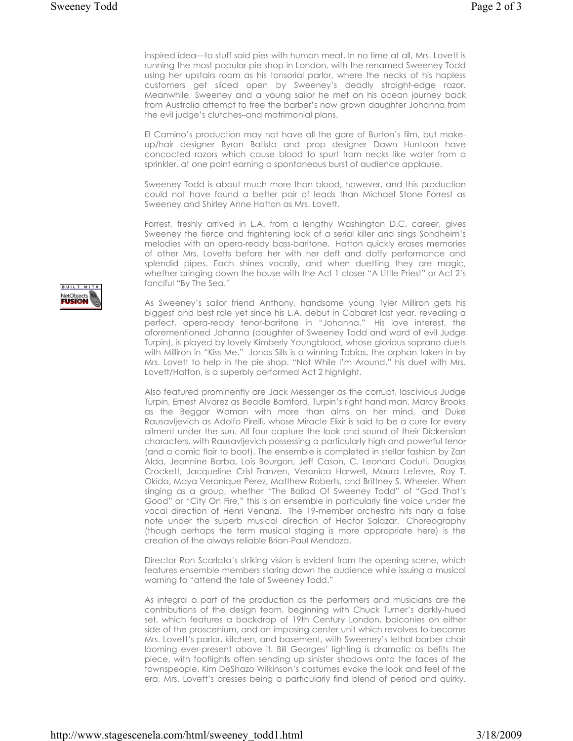inspired idea—to stuff said pies with human meat. In no time at all, Mrs. Lovett is running the most popular pie shop in London, with the renamed Sweeney Todd using her upstairs room as his tonsorial parlor, where the necks of his hapless customers get sliced open by Sweeney's deadly straight-edge razor. Meanwhile, Sweeney and a young sailor he met on his ocean journey back from Australia attempt to free the barber's now grown daughter Johanna from the evil judge's clutches–and matrimonial plans.

El Camino's production may not have all the gore of Burton's film, but makeup/hair designer Byron Batista and prop designer Dawn Huntoon have concocted razors which cause blood to spurt from necks like water from a sprinkler, at one point earning a spontaneous burst of audience applause.

Sweeney Todd is about much more than blood, however, and this production could not have found a better pair of leads than Michael Stone Forrest as Sweeney and Shirley Anne Hatton as Mrs. Lovett.

Forrest, freshly arrived in L.A. from a lengthy Washington D.C. career, gives Sweeney the fierce and frightening look of a serial killer and sings Sondheim's melodies with an opera-ready bass-baritone. Hatton quickly erases memories of other Mrs. Lovetts before her with her deft and daffy performance and splendid pipes. Each shines vocally, and when duetting they are magic, whether bringing down the house with the Act 1 closer "A Little Priest" or Act 2's fanciful "By The Sea."

As Sweeney's sailor friend Anthony, handsome young Tyler Milliron gets his biggest and best role yet since his L.A. debut in Cabaret last year, revealing a perfect, opera-ready tenor-baritone in "Johanna." His love interest, the aforementioned Johanna (daughter of Sweeney Todd and ward of evil Judge Turpin), is played by lovely Kimberly Youngblood, whose glorious soprano duets with Milliron in "Kiss Me." Jonas Sills is a winning Tobias, the orphan taken in by Mrs. Lovett to help in the pie shop. "Not While I'm Around," his duet with Mrs. Lovett/Hatton, is a superbly performed Act 2 highlight.

Also featured prominently are Jack Messenger as the corrupt, lascivious Judge Turpin, Ernest Alvarez as Beadle Bamford, Turpin's right hand man, Marcy Brooks as the Beggar Woman with more than alms on her mind, and Duke Rausavljevich as Adolfo Pirelli, whose Miracle Elixir is said to be a cure for every ailment under the sun. All four capture the look and sound of their Dickensian characters, with Rausavljevich possessing a particularly high and powerful tenor (and a comic flair to boot). The ensemble is completed in stellar fashion by Zan Alda, Jeannine Barba, Lois Bourgon, Jeff Cason, C. Leonard Coduti, Douglas Crockett, Jacqueline Crist-Franzen, Veronica Harwell, Maura Lefevre, Roy T. Okida, Maya Veronique Perez, Matthew Roberts, and Brittney S. Wheeler. When singing as a group, whether "The Ballad Of Sweeney Todd" of "God That's Good" or "City On Fire," this is an ensemble in particularly fine voice under the vocal direction of Henri Venanzi. The 19-member orchestra hits nary a false note under the superb musical direction of Hector Salazar. Choreography (though perhaps the term musical staging is more appropriate here) is the creation of the always reliable Brian-Paul Mendoza.

Director Ron Scarlata's striking vision is evident from the opening scene, which features ensemble members staring down the audience while issuing a musical warning to "attend the tale of Sweeney Todd."

As integral a part of the production as the performers and musicians are the contributions of the design team, beginning with Chuck Turner's darkly-hued set, which features a backdrop of 19th Century London, balconies on either side of the proscenium, and an imposing center unit which revolves to become Mrs. Lovett's parlor, kitchen, and basement, with Sweeney's lethal barber chair looming ever-present above it. Bill Georges' lighting is dramatic as befits the piece, with footlights often sending up sinister shadows onto the faces of the townspeople. Kim DeShazo Wilkinson's costumes evoke the look and feel of the era, Mrs. Lovett's dresses being a particularly find blend of period and quirky.